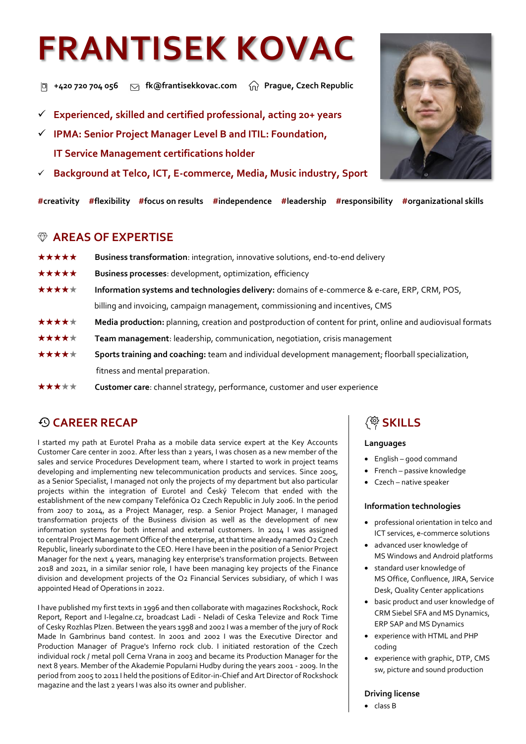# **FRANTISEK KOVAC**

 **+420 720 704 056 fk@frantisekkovac.com Prague, Czech Republic**

- ✓ **Experienced, skilled and certified professional, acting 20+ years**
- ✓ **IPMA: Senior Project Manager Level B and ITIL: Foundation, IT Service Management certifications holder**
- ✓ **Background at Telco, ICT, E-commerce, Media, Music industry, Sport**

**#creativity #flexibility #focus on results #independence #leadership #responsibility #organizational skills**

#### **AREAS OF EXPERTISE**

- **★★★★★** Business transformation: integration, innovative solutions, end-to-end delivery
- **★★★★★** Business processes: development, optimization, efficiency
- **★★★★★** Information systems and technologies delivery: domains of e-commerce & e-care, ERP, CRM, POS, billing and invoicing, campaign management, commissioning and incentives, CMS
- **★★★★★** Media production: planning, creation and postproduction of content for print, online and audiovisual formats
- **★★★★★** Team management: leadership, communication, negotiation, crisis management
- **★★★★★** Sports training and coaching: team and individual development management; floorball specialization, fitness and mental preparation.
- **★★★★★** Customer care: channel strategy, performance, customer and user experience

## **CAREER RECAP**

I started my path at Eurotel Praha as a mobile data service expert at the Key Accounts Customer Care center in 2002. After less than 2 years, I was chosen as a new member of the sales and service Procedures Development team, where I started to work in project teams developing and implementing new telecommunication products and services. Since 2005, as a Senior Specialist, I managed not only the projects of my department but also particular projects within the integration of Eurotel and Český Telecom that ended with the establishment of the new company Telefónica O2 Czech Republic in July 2006. In the period from 2007 to 2014, as a Project Manager, resp. a Senior Project Manager, I managed transformation projects of the Business division as well as the development of new information systems for both internal and external customers. In 2014 I was assigned to central Project Management Office of the enterprise, at that time already named O2 Czech Republic, linearly subordinate to the CEO. Here I have been in the position of a Senior Project Manager for the next 4 years, managing key enterprise's transformation projects. Between 2018 and 2021, in a similar senior role, I have been managing key projects of the Finance division and development projects of the O2 Financial Services subsidiary, of which I was appointed Head of Operations in 2022.

I have published my first texts in 1996 and then collaborate with magazines Rockshock, Rock Report, Report and I-legalne.cz, broadcast Ladi - Neladi of Ceska Televize and Rock Time of Cesky Rozhlas Plzen. Between the years 1998 and 2002 I was a member of the jury of Rock Made In Gambrinus band contest. In 2001 and 2002 I was the Executive Director and Production Manager of Prague's Inferno rock club. I initiated restoration of the Czech individual rock / metal poll Cerna Vrana in 2003 and became its Production Manager for the next 8 years. Member of the Akademie Popularni Hudby during the years 2001 - 2009. In the period from 2005 to 2011 I held the positions of Editor-in-Chief and Art Director of Rockshock magazine and the last 2 years I was also its owner and publisher.

## 《<sup>發</sup> SKILLS

#### **Languages**

- English good command
- French passive knowledge
- Czech native speaker

#### **Information technologies**

- professional orientation in telco and ICT services, e-commerce solutions
- advanced user knowledge of MS Windows and Android platforms
- standard user knowledge of MS Office, Confluence, JIRA, Service Desk, Quality Center applications
- basic product and user knowledge of CRM Siebel SFA and MS Dynamics, ERP SAP and MS Dynamics
- experience with HTML and PHP coding
- experience with graphic, DTP, CMS sw, picture and sound production

#### **Driving license**

• class B

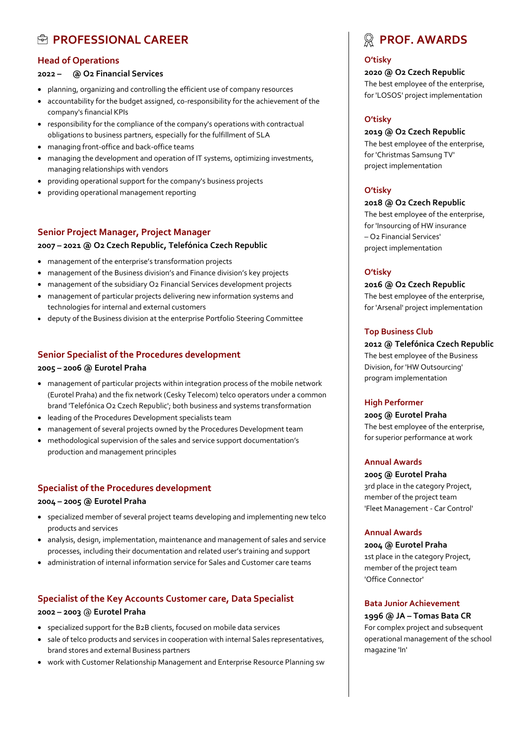## **PROFESSIONAL CAREER**

#### **Head of Operations**

#### **2022 – @ O2 Financial Services**

- planning, organizing and controlling the efficient use of company resources
- accountability for the budget assigned, co-responsibility for the achievement of the company's financial KPIs
- responsibility for the compliance of the company's operations with contractual obligations to business partners, especially for the fulfillment of SLA
- managing front-office and back-office teams
- managing the development and operation of IT systems, optimizing investments, managing relationships with vendors
- providing operational support for the company's business projects
- providing operational management reporting

#### **Senior Project Manager, Project Manager**

#### **2007 – 2021 @ O2 Czech Republic, Telefónica Czech Republic**

- management of the enterprise's transformation projects
- management of the Business division's and Finance division's key projects
- management of the subsidiary O2 Financial Services development projects
- management of particular projects delivering new information systems and technologies for internal and external customers
- deputy of the Business division at the enterprise Portfolio Steering Committee

#### **Senior Specialist of the Procedures development**

#### **2005 – 2006 @ Eurotel Praha**

- management of particular projects within integration process of the mobile network (Eurotel Praha) and the fix network (Cesky Telecom) telco operators under a common brand 'Telefónica O2 Czech Republic'; both business and systems transformation
- leading of the Procedures Development specialists team
- management of several projects owned by the Procedures Development team
- methodological supervision of the sales and service support documentation's production and management principles

#### **Specialist of the Procedures development**

#### **2004 – 2005 @ Eurotel Praha**

- specialized member of several project teams developing and implementing new telco products and services
- analysis, design, implementation, maintenance and management of sales and service processes, including their documentation and related user's training and support
- administration of internal information service for Sales and Customer care teams

#### **Specialist of the Key Accounts Customer care, Data Specialist**

#### **2002 – 2003** @ **Eurotel Praha**

- specialized support for the B2B clients, focused on mobile data services
- sale of telco products and services in cooperation with internal Sales representatives, brand stores and external Business partners
- work with Customer Relationship Management and Enterprise Resource Planning sw

## **PROF. AWARDS**

#### **O'tisky**

**2020 @ O2 Czech Republic** The best employee of the enterprise, for 'LOSOS' project implementation

#### **O'tisky**

#### **2019 @ O2 Czech Republic**

The best employee of the enterprise, for 'Christmas Samsung TV' project implementation

#### **O'tisky**

#### **2018 @ O2 Czech Republic**

The best employee of the enterprise, for 'Insourcing of HW insurance – O2 Financial Services' project implementation

#### **O'tisky**

**2016 @ O2 Czech Republic** The best employee of the enterprise, for 'Arsenal' project implementation

#### **Top Business Club**

**2012 @ Telefónica Czech Republic** The best employee of the Business Division, for 'HW Outsourcing' program implementation

#### **High Performer**

**2005 @ Eurotel Praha** The best employee of the enterprise, for superior performance at work

#### **Annual Awards**

**2005 @ Eurotel Praha** 3rd place in the category Project, member of the project team 'Fleet Management - Car Control'

#### **Annual Awards**

**2004 @ Eurotel Praha** 1st place in the category Project, member of the project team 'Office Connector'

#### **Bata Junior Achievement**

**1996 @ JA – Tomas Bata CR** For complex project and subsequent operational management of the school magazine 'In'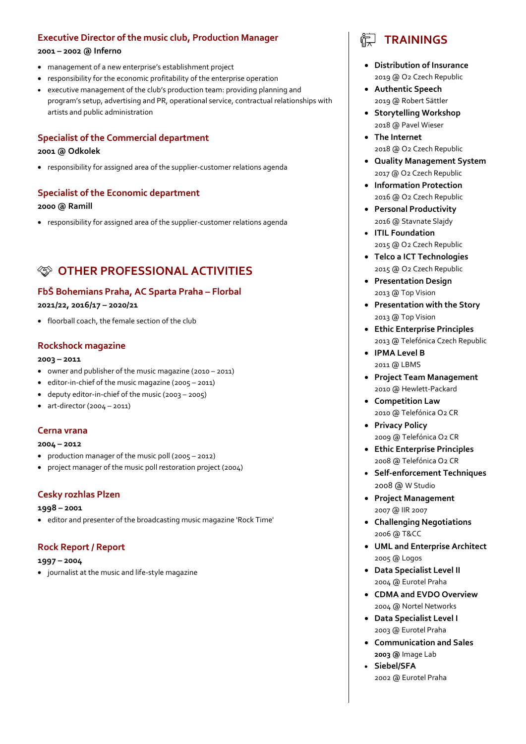#### **Executive Director of the music club, Production Manager**

#### **2001 – 2002 @ Inferno**

- management of a new enterprise's establishment project
- responsibility for the economic profitability of the enterprise operation
- executive management of the club's production team: providing planning and program's setup, advertising and PR, operational service, contractual relationships with artists and public administration

#### **Specialist of the Commercial department**

#### **2001 @ Odkolek**

• responsibility for assigned area of the supplier-customer relations agenda

#### **Specialist of the Economic department**

#### **2000 @ Ramill**

• responsibility for assigned area of the supplier-customer relations agenda

## **OTHER PROFESSIONAL ACTIVITIES**

#### **FbŠ Bohemians Praha, AC Sparta Praha – Florbal**

#### **2021/22, 2016/17 – 2020/21**

• floorball coach, the female section of the club

#### **Rockshock magazine**

#### **2003 – 2011**

- owner and publisher of the music magazine (2010 2011)
- editor-in-chief of the music magazine (2005 2011)
- deputy editor-in-chief of the music (2003 2005)
- art-director (2004 2011)

#### **Cerna vrana**

#### **2004 – 2012**

- production manager of the music poll (2005 2012)
- project manager of the music poll restoration project (2004)

#### **Cesky rozhlas Plzen**

#### **1998 – 2001**

• editor and presenter of the broadcasting music magazine 'Rock Time'

#### **Rock Report / Report**

#### **1997 – 2004**

• journalist at the music and life-style magazine

## **TRAININGS**

- **Distribution of Insurance** 2019 @ O2 Czech Republic
- **Authentic Speech** 2019 @ Robert Sättler
- **Storytelling Workshop** 2018 @ Pavel Wieser
- **The Internet** 2018 @ O2 Czech Republic
- **Quality Management System** 2017 @ O2 Czech Republic
- **Information Protection** 2016 @ O2 Czech Republic
- **Personal Productivity** 2016 @ Stavnate Slajdy
- **ITIL Foundation** 2015 @ O2 Czech Republic
- **Telco a ICT Technologies**  2015 @ O2 Czech Republic
- **Presentation Design** 2013 @ Top Vision
- **Presentation with the Story**  2013 @ Top Vision
- **Ethic Enterprise Principles** 2013 @ Telefónica Czech Republic
- **IPMA Level B**  2011 @ LBMS
- **Project Team Management** 2010 @ Hewlett-Packard
- **Competition Law** 2010 @ Telefónica O2 CR
- **Privacy Policy** 2009 @ Telefónica O2 CR
- **Ethic Enterprise Principles** 2008 @ Telefónica O2 CR
- **Self-enforcement Techniques** 2008 @ W Studio
- **Project Management** 2007 @ IIR 2007
- **Challenging Negotiations** 2006 @ T&CC
- **UML and Enterprise Architect** 2005 @ Logos
- **Data Specialist Level II** 2004 @ Eurotel Praha
- **CDMA and EVDO Overview** 2004 @ Nortel Networks
- **Data Specialist Level I** 2003 @ Eurotel Praha
- **Communication and Sales 2003 @** Image Lab
- **Siebel/SFA** 2002 @ Eurotel Praha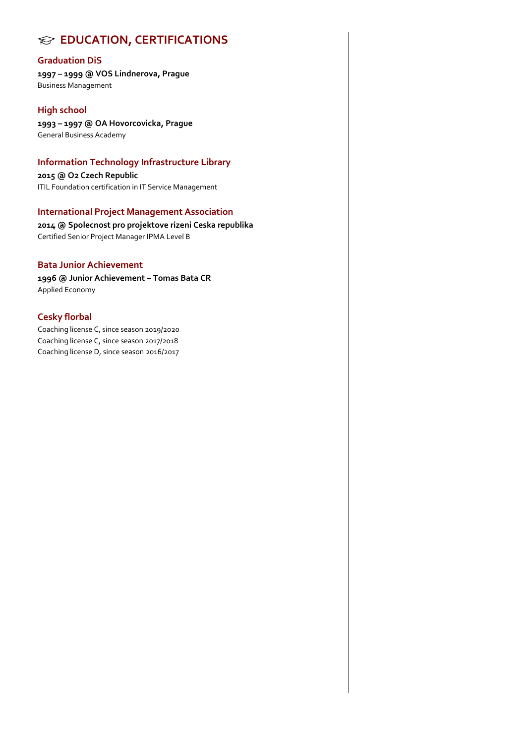## **EDUCATION, CERTIFICATIONS**

#### **Graduation DiS**

**1997 – 1999 @ VOS Lindnerova, Prague** Business Management

#### **High school**

**1993 – 1997 @ OA Hovorcovicka, Prague** General Business Academy

#### **Information Technology Infrastructure Library**

**2015 @ O2 Czech Republic** ITIL Foundation certification in IT Service Management

#### **International Project Management Association**

**2014 @ Spolecnost pro projektove rizeni Ceska republika** Certified Senior Project Manager IPMA Level B

#### **Bata Junior Achievement**

**1996 @ Junior Achievement – Tomas Bata CR** Applied Economy

#### **Cesky florbal**

Coaching license C, since season 2019/2020 Coaching license C, since season 2017/2018 Coaching license D, since season 2016/2017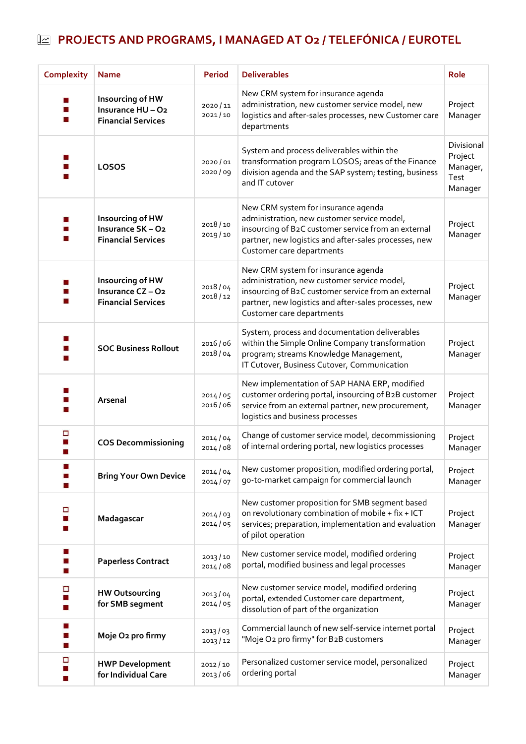# **PROJECTS AND PROGRAMS, I MANAGED AT O2 / TELEFÓNICA / EUROTEL**

| <b>Complexity</b> | <b>Name</b>                                                      | <b>Period</b>      | <b>Deliverables</b>                                                                                                                                                                                                             | Role                                                 |
|-------------------|------------------------------------------------------------------|--------------------|---------------------------------------------------------------------------------------------------------------------------------------------------------------------------------------------------------------------------------|------------------------------------------------------|
|                   | Insourcing of HW<br>Insurance HU-O2<br><b>Financial Services</b> | 2020/11<br>2021/10 | New CRM system for insurance agenda<br>administration, new customer service model, new<br>logistics and after-sales processes, new Customer care<br>departments                                                                 | Project<br>Manager                                   |
|                   | LOSOS                                                            | 2020/01<br>2020/09 | System and process deliverables within the<br>transformation program LOSOS; areas of the Finance<br>division agenda and the SAP system; testing, business<br>and IT cutover                                                     | Divisional<br>Project<br>Manager,<br>Test<br>Manager |
|                   | Insourcing of HW<br>Insurance SK-O2<br><b>Financial Services</b> | 2018/10<br>2019/10 | New CRM system for insurance agenda<br>administration, new customer service model,<br>insourcing of B2C customer service from an external<br>partner, new logistics and after-sales processes, new<br>Customer care departments | Project<br>Manager                                   |
|                   | Insourcing of HW<br>Insurance CZ-O2<br><b>Financial Services</b> | 2018/04<br>2018/12 | New CRM system for insurance agenda<br>administration, new customer service model,<br>insourcing of B2C customer service from an external<br>partner, new logistics and after-sales processes, new<br>Customer care departments | Project<br>Manager                                   |
|                   | <b>SOC Business Rollout</b>                                      | 2016/06<br>2018/04 | System, process and documentation deliverables<br>within the Simple Online Company transformation<br>program; streams Knowledge Management,<br>IT Cutover, Business Cutover, Communication                                      | Project<br>Manager                                   |
|                   | Arsenal                                                          | 2014/05<br>2016/06 | New implementation of SAP HANA ERP, modified<br>customer ordering portal, insourcing of B2B customer<br>service from an external partner, new procurement,<br>logistics and business processes                                  | Project<br>Manager                                   |
| □                 | <b>COS Decommissioning</b>                                       | 2014/04<br>2014/08 | Change of customer service model, decommissioning<br>of internal ordering portal, new logistics processes                                                                                                                       | Project<br>Manager                                   |
|                   | <b>Bring Your Own Device</b>                                     | 2014/04<br>2014/07 | New customer proposition, modified ordering portal,<br>go-to-market campaign for commercial launch                                                                                                                              | Project<br>Manager                                   |
| □                 | Madagascar                                                       | 2014/03<br>2014/05 | New customer proposition for SMB segment based<br>on revolutionary combination of mobile + fix + ICT<br>services; preparation, implementation and evaluation<br>of pilot operation                                              | Project<br>Manager                                   |
|                   | <b>Paperless Contract</b>                                        | 2013/10<br>2014/08 | New customer service model, modified ordering<br>portal, modified business and legal processes                                                                                                                                  | Project<br>Manager                                   |
| □                 | <b>HW Outsourcing</b><br>for SMB segment                         | 2013/04<br>2014/05 | New customer service model, modified ordering<br>portal, extended Customer care department,<br>dissolution of part of the organization                                                                                          | Project<br>Manager                                   |
|                   | Moje O2 pro firmy                                                | 2013/03<br>2013/12 | Commercial launch of new self-service internet portal<br>"Moje O2 pro firmy" for B2B customers                                                                                                                                  | Project<br>Manager                                   |
| □                 | <b>HWP Development</b><br>for Individual Care                    | 2012/10<br>2013/06 | Personalized customer service model, personalized<br>Project<br>ordering portal<br>Manager                                                                                                                                      |                                                      |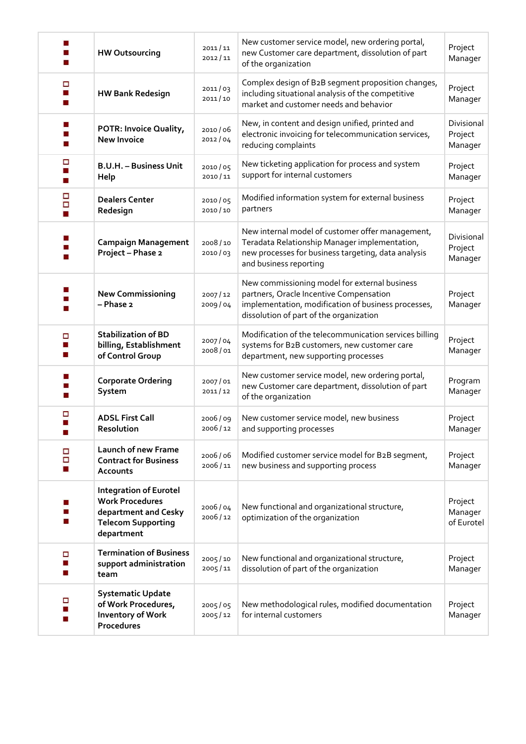|        | <b>HW Outsourcing</b>                                                                                                      | 2011/11<br>2012/11 | New customer service model, new ordering portal,<br>new Customer care department, dissolution of part<br>of the organization                                                               | Project<br>Manager               |
|--------|----------------------------------------------------------------------------------------------------------------------------|--------------------|--------------------------------------------------------------------------------------------------------------------------------------------------------------------------------------------|----------------------------------|
| □      | <b>HW Bank Redesign</b>                                                                                                    | 2011/03<br>2011/10 | Complex design of B2B segment proposition changes,<br>including situational analysis of the competitive<br>market and customer needs and behavior                                          | Project<br>Manager               |
|        | POTR: Invoice Quality,<br><b>New Invoice</b>                                                                               | 2010/06<br>2012/04 | New, in content and design unified, printed and<br>electronic invoicing for telecommunication services,<br>reducing complaints                                                             | Divisional<br>Project<br>Manager |
| □      | <b>B.U.H. - Business Unit</b><br>Help                                                                                      | 2010/05<br>2010/11 | New ticketing application for process and system<br>support for internal customers                                                                                                         | Project<br>Manager               |
| 5      | <b>Dealers Center</b><br>Redesign                                                                                          | 2010/05<br>2010/10 | Modified information system for external business<br>partners                                                                                                                              | Project<br>Manager               |
|        | <b>Campaign Management</b><br>Project - Phase 2                                                                            | 2008/10<br>2010/03 | New internal model of customer offer management,<br>Teradata Relationship Manager implementation,<br>new processes for business targeting, data analysis<br>and business reporting         | Divisional<br>Project<br>Manager |
|        | <b>New Commissioning</b><br>- Phase 2                                                                                      | 2007/12<br>2009/04 | New commissioning model for external business<br>partners, Oracle Incentive Compensation<br>implementation, modification of business processes,<br>dissolution of part of the organization | Project<br>Manager               |
| □      | <b>Stabilization of BD</b><br>billing, Establishment<br>of Control Group                                                   | 2007/04<br>2008/01 | Modification of the telecommunication services billing<br>systems for B2B customers, new customer care<br>department, new supporting processes                                             | Project<br>Manager               |
|        | <b>Corporate Ordering</b><br>System                                                                                        | 2007/01<br>2011/12 | New customer service model, new ordering portal,<br>new Customer care department, dissolution of part<br>of the organization                                                               | Program<br>Manager               |
|        | <b>ADSL First Call</b><br>Resolution                                                                                       | 2006/09<br>2006/12 | New customer service model, new business<br>and supporting processes                                                                                                                       | Project<br>Manager               |
| Ξ<br>ο | Launch of new Frame<br><b>Contract for Business</b><br><b>Accounts</b>                                                     | 2006/06<br>2006/11 | Modified customer service model for B2B segment,<br>new business and supporting process                                                                                                    | Project<br>Manager               |
|        | <b>Integration of Eurotel</b><br><b>Work Procedures</b><br>department and Cesky<br><b>Telecom Supporting</b><br>department | 2006/04<br>2006/12 | New functional and organizational structure,<br>optimization of the organization                                                                                                           | Project<br>Manager<br>of Eurotel |
| □      | <b>Termination of Business</b><br>support administration<br>team                                                           | 2005/10<br>2005/11 | New functional and organizational structure,<br>dissolution of part of the organization                                                                                                    | Project<br>Manager               |
|        | <b>Systematic Update</b><br>of Work Procedures,<br><b>Inventory of Work</b><br>Procedures                                  | 2005/05<br>2005/12 | New methodological rules, modified documentation<br>Project<br>for internal customers<br>Manager                                                                                           |                                  |